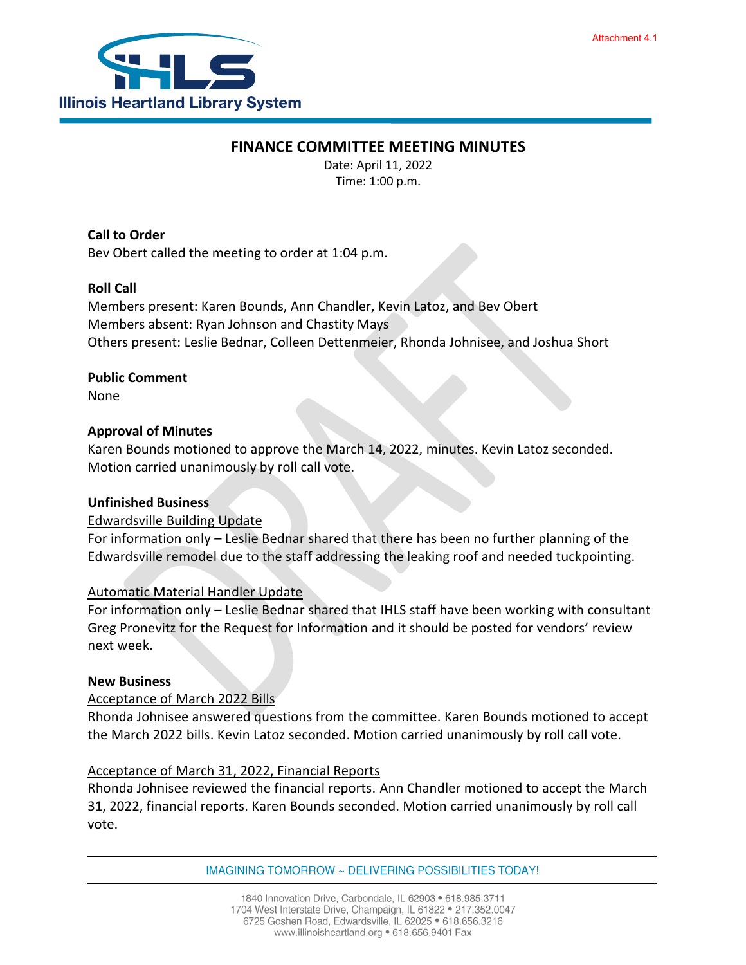

## **FINANCE COMMITTEE MEETING MINUTES**

Date: April 11, 2022 Time: 1:00 p.m.

**Call to Order** Bev Obert called the meeting to order at 1:04 p.m.

# **Roll Call**

Members present: Karen Bounds, Ann Chandler, Kevin Latoz, and Bev Obert Members absent: Ryan Johnson and Chastity Mays Others present: Leslie Bednar, Colleen Dettenmeier, Rhonda Johnisee, and Joshua Short

# **Public Comment**

None

# **Approval of Minutes**

Karen Bounds motioned to approve the March 14, 2022, minutes. Kevin Latoz seconded. Motion carried unanimously by roll call vote.

## **Unfinished Business**

## Edwardsville Building Update

For information only – Leslie Bednar shared that there has been no further planning of the Edwardsville remodel due to the staff addressing the leaking roof and needed tuckpointing.

## Automatic Material Handler Update

For information only – Leslie Bednar shared that IHLS staff have been working with consultant Greg Pronevitz for the Request for Information and it should be posted for vendors' review next week.

#### **New Business**

#### Acceptance of March 2022 Bills

Rhonda Johnisee answered questions from the committee. Karen Bounds motioned to accept the March 2022 bills. Kevin Latoz seconded. Motion carried unanimously by roll call vote.

## Acceptance of March 31, 2022, Financial Reports

Rhonda Johnisee reviewed the financial reports. Ann Chandler motioned to accept the March 31, 2022, financial reports. Karen Bounds seconded. Motion carried unanimously by roll call vote.